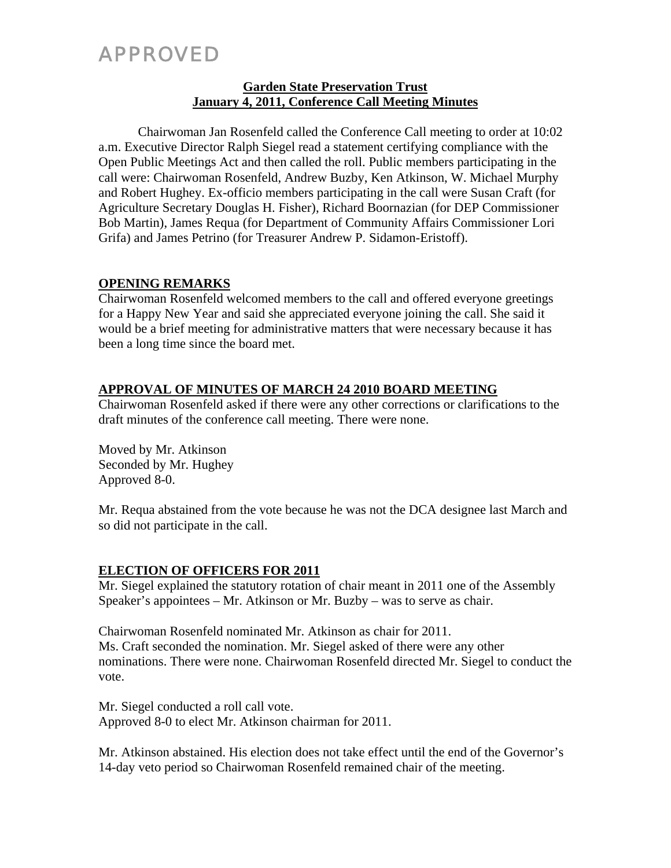# APPROVED

### **Garden State Preservation Trust January 4, 2011, Conference Call Meeting Minutes**

Chairwoman Jan Rosenfeld called the Conference Call meeting to order at 10:02 a.m. Executive Director Ralph Siegel read a statement certifying compliance with the Open Public Meetings Act and then called the roll. Public members participating in the call were: Chairwoman Rosenfeld, Andrew Buzby, Ken Atkinson, W. Michael Murphy and Robert Hughey. Ex-officio members participating in the call were Susan Craft (for Agriculture Secretary Douglas H. Fisher), Richard Boornazian (for DEP Commissioner Bob Martin), James Requa (for Department of Community Affairs Commissioner Lori Grifa) and James Petrino (for Treasurer Andrew P. Sidamon-Eristoff).

## **OPENING REMARKS**

Chairwoman Rosenfeld welcomed members to the call and offered everyone greetings for a Happy New Year and said she appreciated everyone joining the call. She said it would be a brief meeting for administrative matters that were necessary because it has been a long time since the board met.

## **APPROVAL OF MINUTES OF MARCH 24 2010 BOARD MEETING**

Chairwoman Rosenfeld asked if there were any other corrections or clarifications to the draft minutes of the conference call meeting. There were none.

Moved by Mr. Atkinson Seconded by Mr. Hughey Approved 8-0.

Mr. Requa abstained from the vote because he was not the DCA designee last March and so did not participate in the call.

## **ELECTION OF OFFICERS FOR 2011**

Mr. Siegel explained the statutory rotation of chair meant in 2011 one of the Assembly Speaker's appointees – Mr. Atkinson or Mr. Buzby – was to serve as chair.

Chairwoman Rosenfeld nominated Mr. Atkinson as chair for 2011. Ms. Craft seconded the nomination. Mr. Siegel asked of there were any other nominations. There were none. Chairwoman Rosenfeld directed Mr. Siegel to conduct the vote.

Mr. Siegel conducted a roll call vote. Approved 8-0 to elect Mr. Atkinson chairman for 2011.

Mr. Atkinson abstained. His election does not take effect until the end of the Governor's 14-day veto period so Chairwoman Rosenfeld remained chair of the meeting.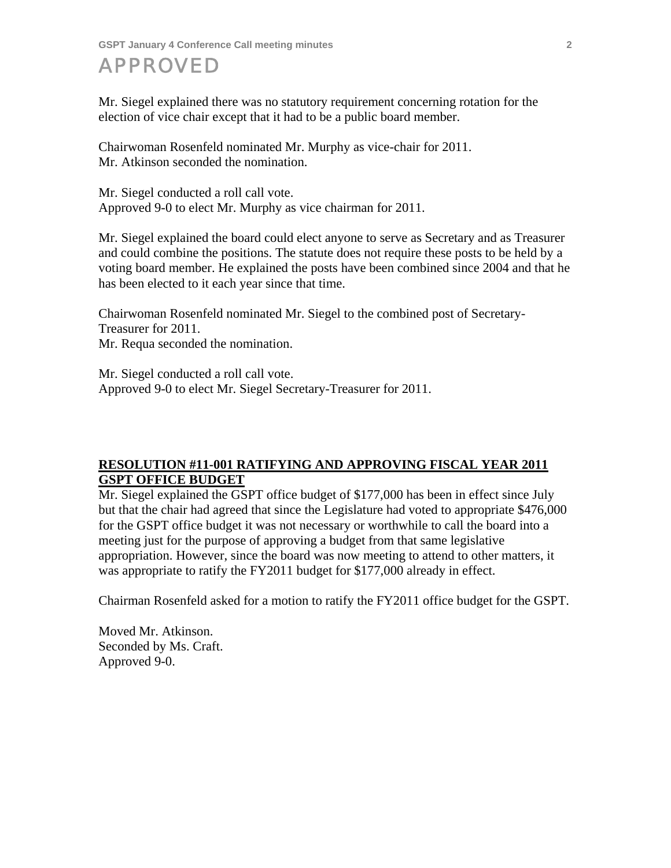**GSPT January 4 Conference Call meeting minutes 2** 

## APPROVED

Mr. Siegel explained there was no statutory requirement concerning rotation for the election of vice chair except that it had to be a public board member.

Chairwoman Rosenfeld nominated Mr. Murphy as vice-chair for 2011. Mr. Atkinson seconded the nomination.

Mr. Siegel conducted a roll call vote. Approved 9-0 to elect Mr. Murphy as vice chairman for 2011.

Mr. Siegel explained the board could elect anyone to serve as Secretary and as Treasurer and could combine the positions. The statute does not require these posts to be held by a voting board member. He explained the posts have been combined since 2004 and that he has been elected to it each year since that time.

Chairwoman Rosenfeld nominated Mr. Siegel to the combined post of Secretary-Treasurer for 2011. Mr. Requa seconded the nomination.

Mr. Siegel conducted a roll call vote. Approved 9-0 to elect Mr. Siegel Secretary-Treasurer for 2011.

## **RESOLUTION #11-001 RATIFYING AND APPROVING FISCAL YEAR 2011 GSPT OFFICE BUDGET**

Mr. Siegel explained the GSPT office budget of \$177,000 has been in effect since July but that the chair had agreed that since the Legislature had voted to appropriate \$476,000 for the GSPT office budget it was not necessary or worthwhile to call the board into a meeting just for the purpose of approving a budget from that same legislative appropriation. However, since the board was now meeting to attend to other matters, it was appropriate to ratify the FY2011 budget for \$177,000 already in effect.

Chairman Rosenfeld asked for a motion to ratify the FY2011 office budget for the GSPT.

Moved Mr. Atkinson. Seconded by Ms. Craft. Approved 9-0.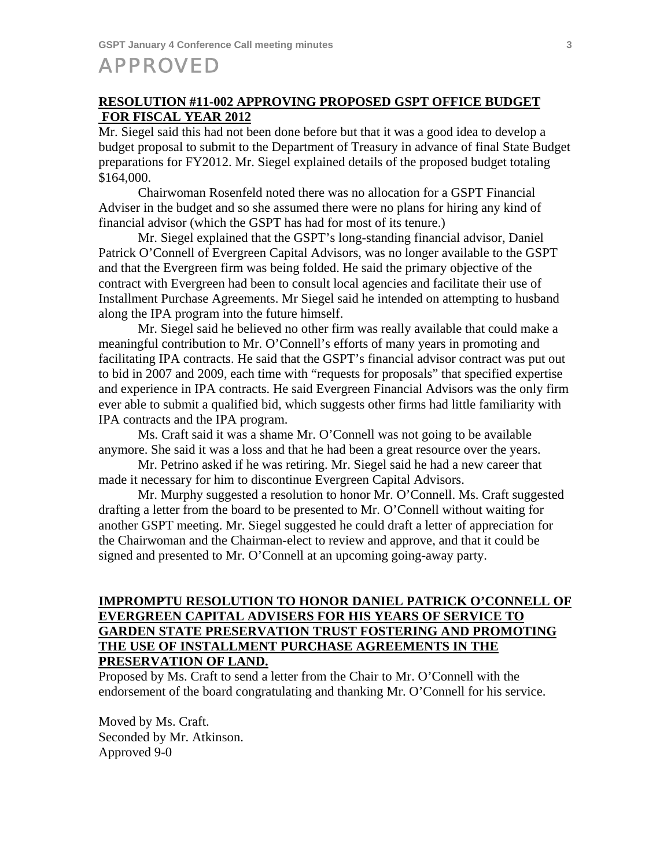## APPROVED

#### **RESOLUTION #11-002 APPROVING PROPOSED GSPT OFFICE BUDGET FOR FISCAL YEAR 2012**

Mr. Siegel said this had not been done before but that it was a good idea to develop a budget proposal to submit to the Department of Treasury in advance of final State Budget preparations for FY2012. Mr. Siegel explained details of the proposed budget totaling \$164,000.

 Chairwoman Rosenfeld noted there was no allocation for a GSPT Financial Adviser in the budget and so she assumed there were no plans for hiring any kind of financial advisor (which the GSPT has had for most of its tenure.)

 Mr. Siegel explained that the GSPT's long-standing financial advisor, Daniel Patrick O'Connell of Evergreen Capital Advisors, was no longer available to the GSPT and that the Evergreen firm was being folded. He said the primary objective of the contract with Evergreen had been to consult local agencies and facilitate their use of Installment Purchase Agreements. Mr Siegel said he intended on attempting to husband along the IPA program into the future himself.

 Mr. Siegel said he believed no other firm was really available that could make a meaningful contribution to Mr. O'Connell's efforts of many years in promoting and facilitating IPA contracts. He said that the GSPT's financial advisor contract was put out to bid in 2007 and 2009, each time with "requests for proposals" that specified expertise and experience in IPA contracts. He said Evergreen Financial Advisors was the only firm ever able to submit a qualified bid, which suggests other firms had little familiarity with IPA contracts and the IPA program.

 Ms. Craft said it was a shame Mr. O'Connell was not going to be available anymore. She said it was a loss and that he had been a great resource over the years.

 Mr. Petrino asked if he was retiring. Mr. Siegel said he had a new career that made it necessary for him to discontinue Evergreen Capital Advisors.

 Mr. Murphy suggested a resolution to honor Mr. O'Connell. Ms. Craft suggested drafting a letter from the board to be presented to Mr. O'Connell without waiting for another GSPT meeting. Mr. Siegel suggested he could draft a letter of appreciation for the Chairwoman and the Chairman-elect to review and approve, and that it could be signed and presented to Mr. O'Connell at an upcoming going-away party.

### **IMPROMPTU RESOLUTION TO HONOR DANIEL PATRICK O'CONNELL OF EVERGREEN CAPITAL ADVISERS FOR HIS YEARS OF SERVICE TO GARDEN STATE PRESERVATION TRUST FOSTERING AND PROMOTING THE USE OF INSTALLMENT PURCHASE AGREEMENTS IN THE PRESERVATION OF LAND.**

Proposed by Ms. Craft to send a letter from the Chair to Mr. O'Connell with the endorsement of the board congratulating and thanking Mr. O'Connell for his service.

Moved by Ms. Craft. Seconded by Mr. Atkinson. Approved 9-0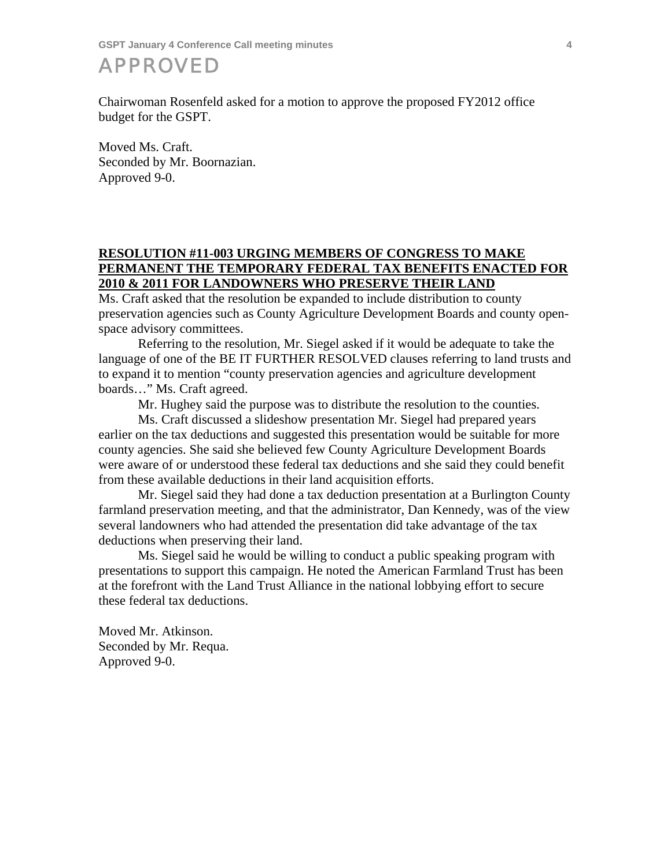**GSPT January 4 Conference Call meeting minutes 4** 

APPROVED

Chairwoman Rosenfeld asked for a motion to approve the proposed FY2012 office budget for the GSPT.

Moved Ms. Craft. Seconded by Mr. Boornazian. Approved 9-0.

### **RESOLUTION #11-003 URGING MEMBERS OF CONGRESS TO MAKE PERMANENT THE TEMPORARY FEDERAL TAX BENEFITS ENACTED FOR 2010 & 2011 FOR LANDOWNERS WHO PRESERVE THEIR LAND**

Ms. Craft asked that the resolution be expanded to include distribution to county preservation agencies such as County Agriculture Development Boards and county openspace advisory committees.

 Referring to the resolution, Mr. Siegel asked if it would be adequate to take the language of one of the BE IT FURTHER RESOLVED clauses referring to land trusts and to expand it to mention "county preservation agencies and agriculture development boards…" Ms. Craft agreed.

Mr. Hughey said the purpose was to distribute the resolution to the counties.

 Ms. Craft discussed a slideshow presentation Mr. Siegel had prepared years earlier on the tax deductions and suggested this presentation would be suitable for more county agencies. She said she believed few County Agriculture Development Boards were aware of or understood these federal tax deductions and she said they could benefit from these available deductions in their land acquisition efforts.

 Mr. Siegel said they had done a tax deduction presentation at a Burlington County farmland preservation meeting, and that the administrator, Dan Kennedy, was of the view several landowners who had attended the presentation did take advantage of the tax deductions when preserving their land.

 Ms. Siegel said he would be willing to conduct a public speaking program with presentations to support this campaign. He noted the American Farmland Trust has been at the forefront with the Land Trust Alliance in the national lobbying effort to secure these federal tax deductions.

Moved Mr. Atkinson. Seconded by Mr. Requa. Approved 9-0.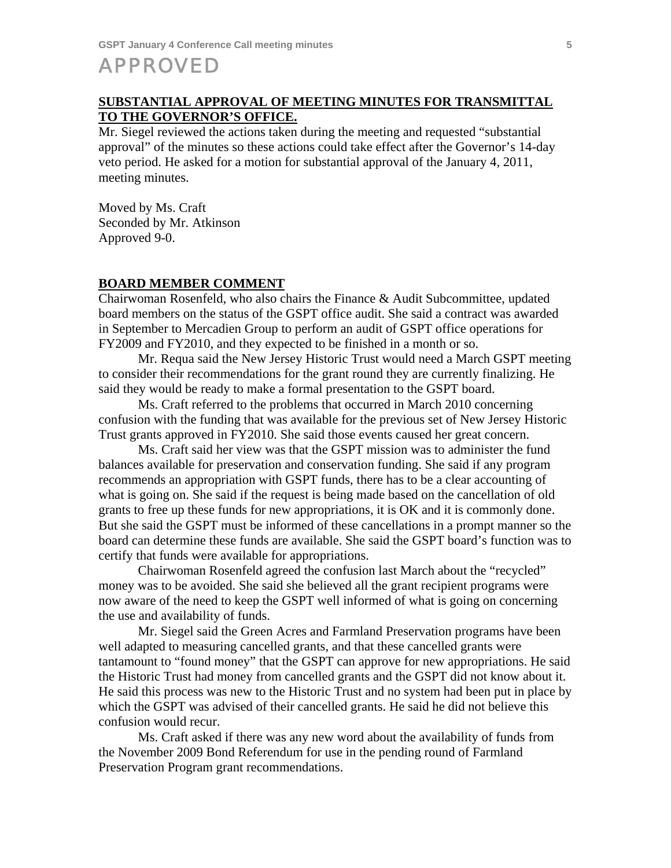## APPROVED

### **SUBSTANTIAL APPROVAL OF MEETING MINUTES FOR TRANSMITTAL TO THE GOVERNOR'S OFFICE.**

Mr. Siegel reviewed the actions taken during the meeting and requested "substantial approval" of the minutes so these actions could take effect after the Governor's 14-day veto period. He asked for a motion for substantial approval of the January 4, 2011, meeting minutes.

Moved by Ms. Craft Seconded by Mr. Atkinson Approved 9-0.

#### **BOARD MEMBER COMMENT**

Chairwoman Rosenfeld, who also chairs the Finance & Audit Subcommittee, updated board members on the status of the GSPT office audit. She said a contract was awarded in September to Mercadien Group to perform an audit of GSPT office operations for FY2009 and FY2010, and they expected to be finished in a month or so.

 Mr. Requa said the New Jersey Historic Trust would need a March GSPT meeting to consider their recommendations for the grant round they are currently finalizing. He said they would be ready to make a formal presentation to the GSPT board.

 Ms. Craft referred to the problems that occurred in March 2010 concerning confusion with the funding that was available for the previous set of New Jersey Historic Trust grants approved in FY2010. She said those events caused her great concern.

 Ms. Craft said her view was that the GSPT mission was to administer the fund balances available for preservation and conservation funding. She said if any program recommends an appropriation with GSPT funds, there has to be a clear accounting of what is going on. She said if the request is being made based on the cancellation of old grants to free up these funds for new appropriations, it is OK and it is commonly done. But she said the GSPT must be informed of these cancellations in a prompt manner so the board can determine these funds are available. She said the GSPT board's function was to certify that funds were available for appropriations.

 Chairwoman Rosenfeld agreed the confusion last March about the "recycled" money was to be avoided. She said she believed all the grant recipient programs were now aware of the need to keep the GSPT well informed of what is going on concerning the use and availability of funds.

 Mr. Siegel said the Green Acres and Farmland Preservation programs have been well adapted to measuring cancelled grants, and that these cancelled grants were tantamount to "found money" that the GSPT can approve for new appropriations. He said the Historic Trust had money from cancelled grants and the GSPT did not know about it. He said this process was new to the Historic Trust and no system had been put in place by which the GSPT was advised of their cancelled grants. He said he did not believe this confusion would recur.

 Ms. Craft asked if there was any new word about the availability of funds from the November 2009 Bond Referendum for use in the pending round of Farmland Preservation Program grant recommendations.